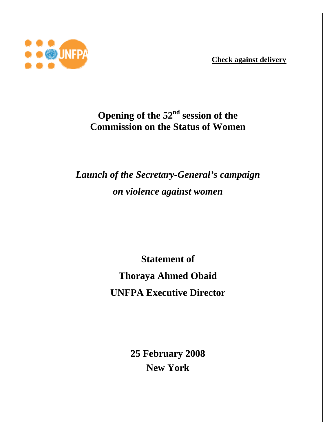**Check against delivery**



## **Opening of the 52nd session of the Commission on the Status of Women**

## *Launch of the Secretary-General's campaign on violence against women*

**Statement of Thoraya Ahmed Obaid UNFPA Executive Director** 

> **25 February 2008 New York**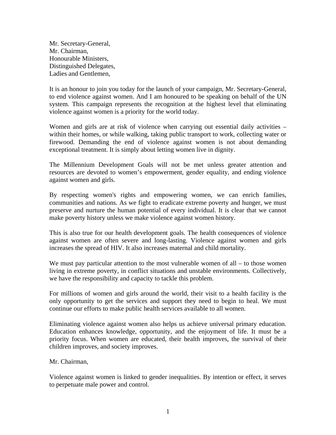Mr. Secretary-General, Mr. Chairman, Honourable Ministers, Distinguished Delegates, Ladies and Gentlemen,

It is an honour to join you today for the launch of your campaign, Mr. Secretary-General, to end violence against women. And I am honoured to be speaking on behalf of the UN system. This campaign represents the recognition at the highest level that eliminating violence against women is a priority for the world today.

Women and girls are at risk of violence when carrying out essential daily activities – within their homes, or while walking, taking public transport to work, collecting water or firewood. Demanding the end of violence against women is not about demanding exceptional treatment. It is simply about letting women live in dignity.

The Millennium Development Goals will not be met unless greater attention and resources are devoted to women's empowerment, gender equality, and ending violence against women and girls.

By respecting women's rights and empowering women, we can enrich families, communities and nations. As we fight to eradicate extreme poverty and hunger, we must preserve and nurture the human potential of every individual. It is clear that we cannot make poverty history unless we make violence against women history.

This is also true for our health development goals. The health consequences of violence against women are often severe and long-lasting. Violence against women and girls increases the spread of HIV. It also increases maternal and child mortality.

We must pay particular attention to the most vulnerable women of all – to those women living in extreme poverty, in conflict situations and unstable environments. Collectively, we have the responsibility and capacity to tackle this problem.

For millions of women and girls around the world, their visit to a health facility is the only opportunity to get the services and support they need to begin to heal. We must continue our efforts to make public health services available to all women.

Eliminating violence against women also helps us achieve universal primary education. Education enhances knowledge, opportunity, and the enjoyment of life. It must be a priority focus. When women are educated, their health improves, the survival of their children improves, and society improves.

Mr. Chairman,

Violence against women is linked to gender inequalities. By intention or effect, it serves to perpetuate male power and control.